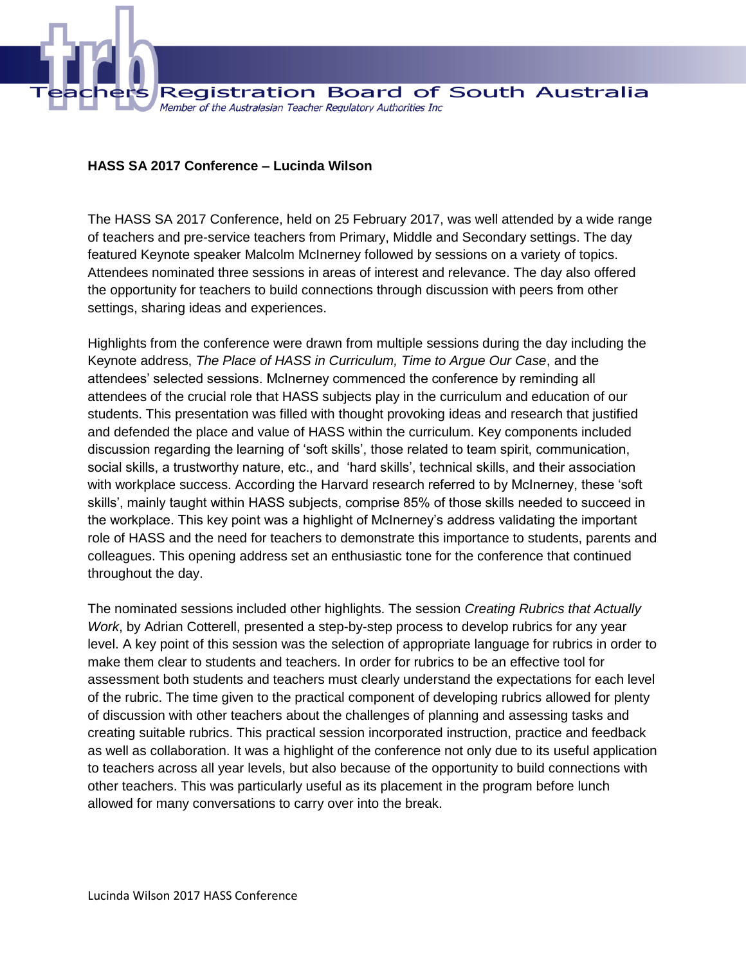

**Registration Board of South Australia** Member of the Australasian Teacher Regulatory Authorities Inc

## **HASS SA 2017 Conference – Lucinda Wilson**

The HASS SA 2017 Conference, held on 25 February 2017, was well attended by a wide range of teachers and pre-service teachers from Primary, Middle and Secondary settings. The day featured Keynote speaker Malcolm McInerney followed by sessions on a variety of topics. Attendees nominated three sessions in areas of interest and relevance. The day also offered the opportunity for teachers to build connections through discussion with peers from other settings, sharing ideas and experiences.

Highlights from the conference were drawn from multiple sessions during the day including the Keynote address, *The Place of HASS in Curriculum, Time to Argue Our Case*, and the attendees' selected sessions. McInerney commenced the conference by reminding all attendees of the crucial role that HASS subjects play in the curriculum and education of our students. This presentation was filled with thought provoking ideas and research that justified and defended the place and value of HASS within the curriculum. Key components included discussion regarding the learning of 'soft skills', those related to team spirit, communication, social skills, a trustworthy nature, etc., and 'hard skills', technical skills, and their association with workplace success. According the Harvard research referred to by McInerney, these 'soft skills', mainly taught within HASS subjects, comprise 85% of those skills needed to succeed in the workplace. This key point was a highlight of McInerney's address validating the important role of HASS and the need for teachers to demonstrate this importance to students, parents and colleagues. This opening address set an enthusiastic tone for the conference that continued throughout the day.

The nominated sessions included other highlights. The session *Creating Rubrics that Actually Work*, by Adrian Cotterell, presented a step-by-step process to develop rubrics for any year level. A key point of this session was the selection of appropriate language for rubrics in order to make them clear to students and teachers. In order for rubrics to be an effective tool for assessment both students and teachers must clearly understand the expectations for each level of the rubric. The time given to the practical component of developing rubrics allowed for plenty of discussion with other teachers about the challenges of planning and assessing tasks and creating suitable rubrics. This practical session incorporated instruction, practice and feedback as well as collaboration. It was a highlight of the conference not only due to its useful application to teachers across all year levels, but also because of the opportunity to build connections with other teachers. This was particularly useful as its placement in the program before lunch allowed for many conversations to carry over into the break.